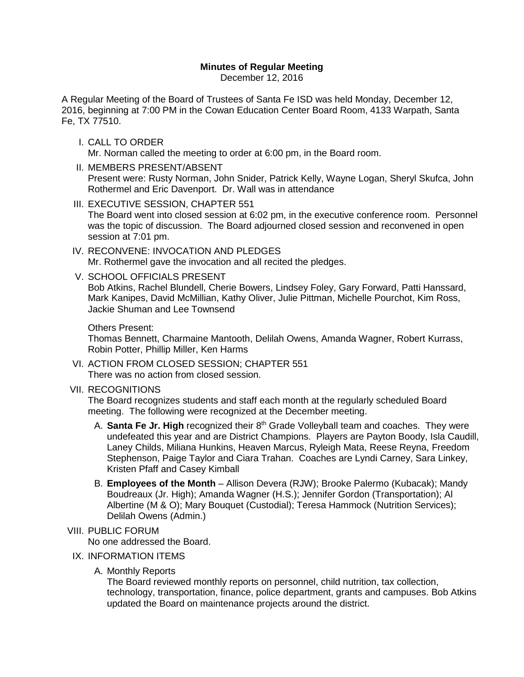# **Minutes of Regular Meeting**

December 12, 2016

A Regular Meeting of the Board of Trustees of Santa Fe ISD was held Monday, December 12, 2016, beginning at 7:00 PM in the Cowan Education Center Board Room, 4133 Warpath, Santa Fe, TX 77510.

- I. CALL TO ORDER Mr. Norman called the meeting to order at 6:00 pm, in the Board room.
- II. MEMBERS PRESENT/ABSENT Present were: Rusty Norman, John Snider, Patrick Kelly, Wayne Logan, Sheryl Skufca, John Rothermel and Eric Davenport. Dr. Wall was in attendance
- III. EXECUTIVE SESSION, CHAPTER 551 The Board went into closed session at 6:02 pm, in the executive conference room. Personnel was the topic of discussion. The Board adjourned closed session and reconvened in open session at 7:01 pm.
- IV. RECONVENE: INVOCATION AND PLEDGES Mr. Rothermel gave the invocation and all recited the pledges.
- V. SCHOOL OFFICIALS PRESENT Bob Atkins, Rachel Blundell, Cherie Bowers, Lindsey Foley, Gary Forward, Patti Hanssard, Mark Kanipes, David McMillian, Kathy Oliver, Julie Pittman, Michelle Pourchot, Kim Ross, Jackie Shuman and Lee Townsend

#### Others Present:

Thomas Bennett, Charmaine Mantooth, Delilah Owens, Amanda Wagner, Robert Kurrass, Robin Potter, Phillip Miller, Ken Harms

VI. ACTION FROM CLOSED SESSION; CHAPTER 551 There was no action from closed session.

### VII. RECOGNITIONS

The Board recognizes students and staff each month at the regularly scheduled Board meeting. The following were recognized at the December meeting.

- A. **Santa Fe Jr. High** recognized their 8<sup>th</sup> Grade Volleyball team and coaches. They were undefeated this year and are District Champions. Players are Payton Boody, Isla Caudill, Laney Childs, Miliana Hunkins, Heaven Marcus, Ryleigh Mata, Reese Reyna, Freedom Stephenson, Paige Taylor and Ciara Trahan. Coaches are Lyndi Carney, Sara Linkey, Kristen Pfaff and Casey Kimball
- B. **Employees of the Month** Allison Devera (RJW); Brooke Palermo (Kubacak); Mandy Boudreaux (Jr. High); Amanda Wagner (H.S.); Jennifer Gordon (Transportation); Al Albertine (M & O); Mary Bouquet (Custodial); Teresa Hammock (Nutrition Services); Delilah Owens (Admin.)

## VIII. PUBLIC FORUM

No one addressed the Board.

### IX. INFORMATION ITEMS

A. Monthly Reports

The Board reviewed monthly reports on personnel, child nutrition, tax collection, technology, transportation, finance, police department, grants and campuses. Bob Atkins updated the Board on maintenance projects around the district.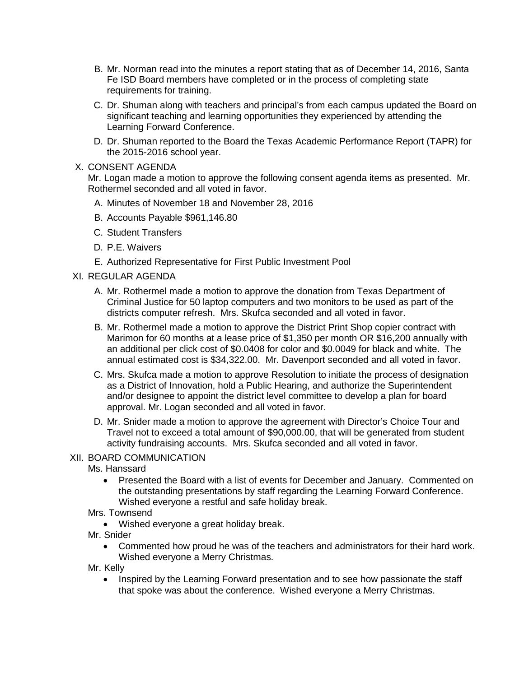- B. Mr. Norman read into the minutes a report stating that as of December 14, 2016, Santa Fe ISD Board members have completed or in the process of completing state requirements for training.
- C. Dr. Shuman along with teachers and principal's from each campus updated the Board on significant teaching and learning opportunities they experienced by attending the Learning Forward Conference.
- D. Dr. Shuman reported to the Board the Texas Academic Performance Report (TAPR) for the 2015-2016 school year.

## X. CONSENT AGENDA

Mr. Logan made a motion to approve the following consent agenda items as presented. Mr. Rothermel seconded and all voted in favor.

- A. Minutes of November 18 and November 28, 2016
- B. Accounts Payable \$961,146.80
- C. Student Transfers
- D. P.E. Waivers
- E. Authorized Representative for First Public Investment Pool

# XI. REGULAR AGENDA

- A. Mr. Rothermel made a motion to approve the donation from Texas Department of Criminal Justice for 50 laptop computers and two monitors to be used as part of the districts computer refresh. Mrs. Skufca seconded and all voted in favor.
- B. Mr. Rothermel made a motion to approve the District Print Shop copier contract with Marimon for 60 months at a lease price of \$1,350 per month OR \$16,200 annually with an additional per click cost of \$0.0408 for color and \$0.0049 for black and white. The annual estimated cost is \$34,322.00. Mr. Davenport seconded and all voted in favor.
- C. Mrs. Skufca made a motion to approve Resolution to initiate the process of designation as a District of Innovation, hold a Public Hearing, and authorize the Superintendent and/or designee to appoint the district level committee to develop a plan for board approval. Mr. Logan seconded and all voted in favor.
- D. Mr. Snider made a motion to approve the agreement with Director's Choice Tour and Travel not to exceed a total amount of \$90,000.00, that will be generated from student activity fundraising accounts. Mrs. Skufca seconded and all voted in favor.

## XII. BOARD COMMUNICATION

Ms. Hanssard

- Presented the Board with a list of events for December and January. Commented on the outstanding presentations by staff regarding the Learning Forward Conference. Wished everyone a restful and safe holiday break.
- Mrs. Townsend
	- Wished everyone a great holiday break.
- Mr. Snider
	- Commented how proud he was of the teachers and administrators for their hard work. Wished everyone a Merry Christmas.
- Mr. Kelly
	- Inspired by the Learning Forward presentation and to see how passionate the staff that spoke was about the conference. Wished everyone a Merry Christmas.